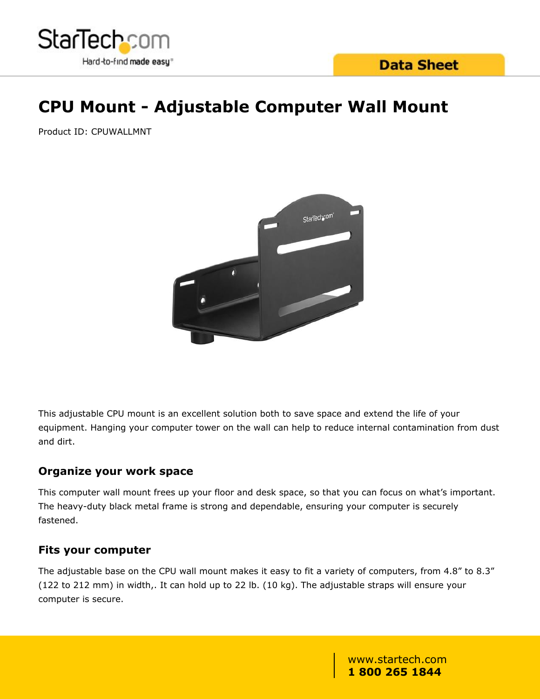

# **CPU Mount - Adjustable Computer Wall Mount**

Product ID: CPUWALLMNT



This adjustable CPU mount is an excellent solution both to save space and extend the life of your equipment. Hanging your computer tower on the wall can help to reduce internal contamination from dust and dirt.

## **Organize your work space**

This computer wall mount frees up your floor and desk space, so that you can focus on what's important. The heavy-duty black metal frame is strong and dependable, ensuring your computer is securely fastened.

## **Fits your computer**

The adjustable base on the CPU wall mount makes it easy to fit a variety of computers, from 4.8" to 8.3" (122 to 212 mm) in width,. It can hold up to 22 lb. (10 kg). The adjustable straps will ensure your computer is secure.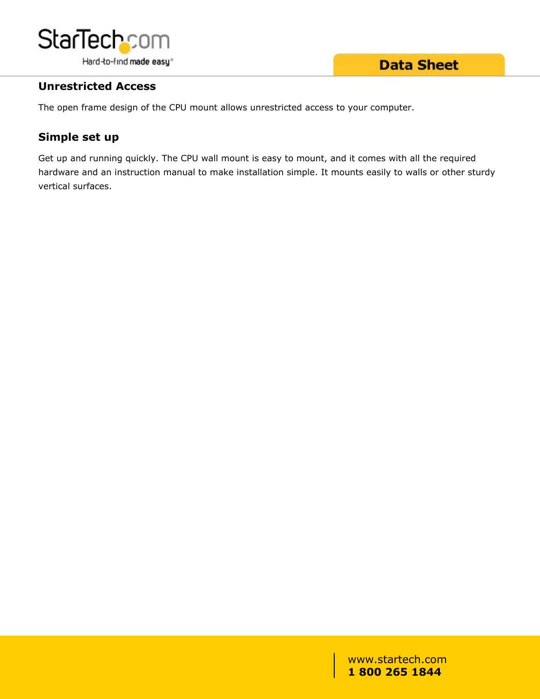

## **Data Sheet**

## **Unrestricted Access**

The open frame design of the CPU mount allows unrestricted access to your computer.

## **Simple set up**

Get up and running quickly. The CPU wall mount is easy to mount, and it comes with all the required hardware and an instruction manual to make installation simple. It mounts easily to walls or other sturdy vertical surfaces.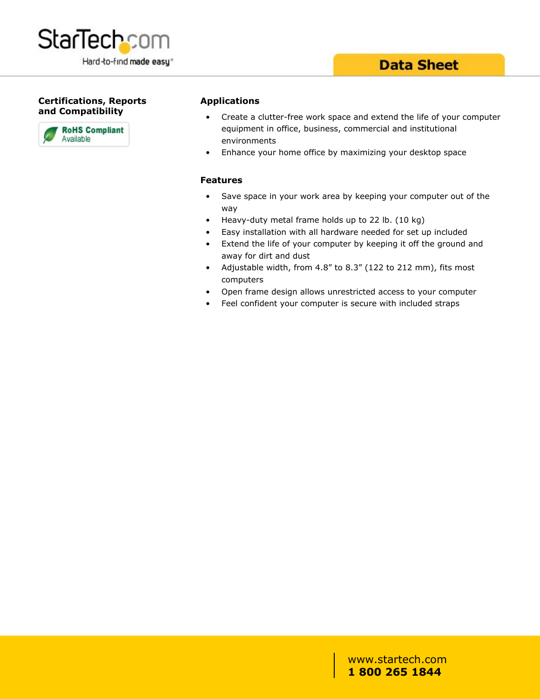

#### **Certifications, Reports and Compatibility**



#### **Applications**

- Create a clutter-free work space and extend the life of your computer equipment in office, business, commercial and institutional environments
- Enhance your home office by maximizing your desktop space

#### **Features**

- Save space in your work area by keeping your computer out of the way and the contract of the contract of the contract of the contract of the contract of the contract of the contract of the contract of the contract of the contract of the contract of the contract of the contract of the co
- Heavy-duty metal frame holds up to 22 lb. (10 kg)
- Easy installation with all hardware needed for set up included
- Extend the life of your computer by keeping it off the ground and away for dirt and dust
- Adjustable width, from 4.8" to 8.3" (122 to 212 mm), fits most computers
- Open frame design allows unrestricted access to your computer
- Feel confident your computer is secure with included straps